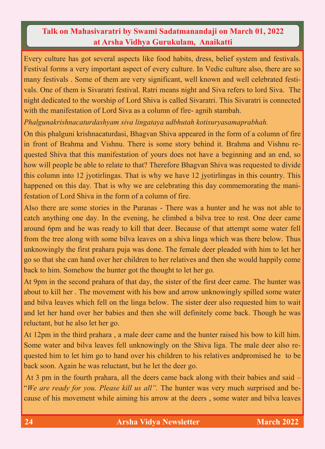## **Talk on Mahasivaratri by Swami Sadatmanandaji on March 01, 2022 at Arsha Vidhya Gurukulam, Anaikatti**

Every culture has got several aspects like food habits, dress, belief system and festivals. Festival forms a very important aspect of every culture. In Vedic culture also, there are so many festivals . Some of them are very significant, well known and well celebrated festivals. One of them is Sivaratri festival. Ratri means night and Siva refers to lord Siva. The night dedicated to the worship of Lord Shiva is called Sivaratri. This Sivaratri is connected with the manifestation of Lord Siva as a column of fire- agnih stambah.

*Phalgunakrishnacaturdashyam siva lingataya udbhutah kotisuryasamaprabhah.*

On this phalguni krishnacaturdasi, Bhagvan Shiva appeared in the form of a column of fire in front of Brahma and Vishnu. There is some story behind it. Brahma and Vishnu requested Shiva that this manifestation of yours does not have a beginning and an end, so how will people be able to relate to that? Therefore Bhagvan Shiva was requested to divide this column into 12 jyotirlingas. That is why we have 12 jyotirlingas in this country. This happened on this day. That is why we are celebrating this day commemorating the manifestation of Lord Shiva in the form of a column of fire.

Also there are some stories in the Puranas - There was a hunter and he was not able to catch anything one day. In the evening, he climbed a bilva tree to rest. One deer came around 6pm and he was ready to kill that deer. Because of that attempt some water fell from the tree along with some bilva leaves on a shiva linga which was there below. Thus unknowingly the first prahara puja was done. The female deer pleaded with him to let her go so that she can hand over her children to her relatives and then she would happily come back to him. Somehow the hunter got the thought to let her go.

At 9pm in the second prahara of that day, the sister of the first deer came. The hunter was about to kill her . The movement with his bow and arrow unknowingly spilled some water and bilva leaves which fell on the linga below. The sister deer also requested him to wait and let her hand over her babies and then she will definitely come back. Though he was reluctant, but he also let her go.

At 12pm in the third prahara , a male deer came and the hunter raised his bow to kill him. Some water and bilva leaves fell unknowingly on the Shiva liga. The male deer also requested him to let him go to hand over his children to his relatives andpromised he to be back soon. Again he was reluctant, but he let the deer go.

At 3 pm in the fourth prahara, all the deers came back along with their babies and said – "*We are ready for you. Please kill us all".* The hunter was very much surprised and because of his movement while aiming his arrow at the deers , some water and bilva leaves